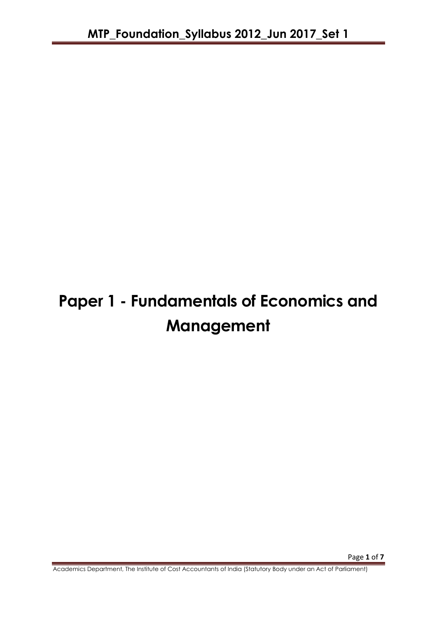# **Paper 1 - Fundamentals of Economics and Management**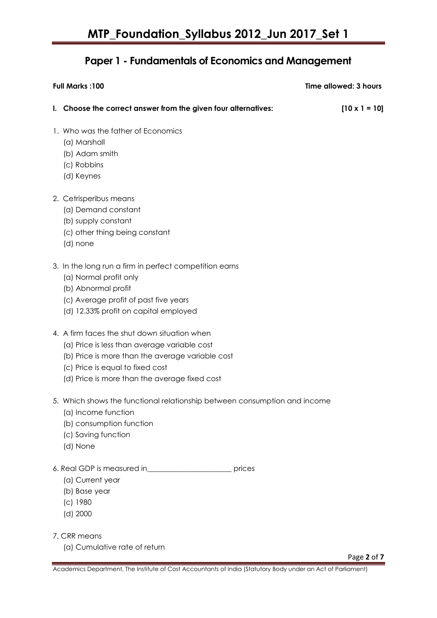# **Paper 1 - Fundamentals of Economics and Management**

| <b>Full Marks: 100</b> |                                                                                                                                                                                                                                       | Time allowed: 3 hours |
|------------------------|---------------------------------------------------------------------------------------------------------------------------------------------------------------------------------------------------------------------------------------|-----------------------|
|                        | I. Choose the correct answer from the given four alternatives:                                                                                                                                                                        | $[10 \times 1 = 10]$  |
|                        | 1. Who was the father of Economics<br>(a) Marshall<br>(b) Adam smith<br>(c) Robbins<br>(d) Keynes                                                                                                                                     |                       |
|                        | 2. Cetrisperibus means<br>(a) Demand constant<br>(b) supply constant<br>(c) other thing being constant<br>(d) none                                                                                                                    |                       |
|                        | 3. In the long run a firm in perfect competition earns<br>(a) Normal profit only<br>(b) Abnormal profit<br>(c) Average profit of past five years<br>(d) 12.33% profit on capital employed                                             |                       |
|                        | 4. A firm faces the shut down situation when<br>(a) Price is less than average variable cost<br>(b) Price is more than the average variable cost<br>(c) Price is equal to fixed cost<br>(d) Price is more than the average fixed cost |                       |
|                        | 5. Which shows the functional relationship between consumption and income<br>(a) Income function<br>(b) consumption function<br>(c) Saving function                                                                                   |                       |

(d) None

6. Real GDP is measured in\_\_\_\_\_\_\_\_\_\_\_\_\_\_\_\_\_\_\_\_\_\_\_ prices

- (a) Current year
- (b) Base year
- (c) 1980
- (d) 2000
- 7. CRR means
	- (a) Cumulative rate of return

Page **2** of **7**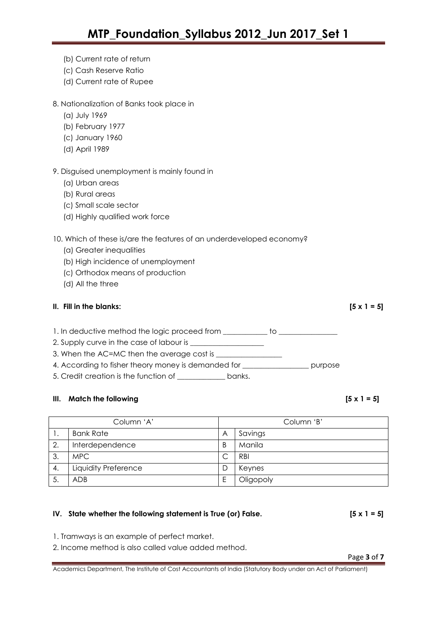- (b) Current rate of return
- (c) Cash Reserve Ratio
- (d) Current rate of Rupee
- 8. Nationalization of Banks took place in
	- (a) July 1969
	- (b) February 1977
	- (c) January 1960
	- (d) April 1989

#### 9. Disguised unemployment is mainly found in

- (a) Urban areas
- (b) Rural areas
- (c) Small scale sector
- (d) Highly qualified work force

### 10. Which of these is/are the features of an underdeveloped economy?

- (a) Greater inequalities
- (b) High incidence of unemployment
- (c) Orthodox means of production
- (d) All the three

#### **II. Fill in the blanks: [5 x 1 = 5]**

- 1. In deductive method the logic proceed from \_\_\_\_\_\_\_\_\_\_ to \_\_\_\_\_\_\_\_\_\_\_\_\_\_\_\_\_\_\_\_
- 2. Supply curve in the case of labour is
- 3. When the AC=MC then the average cost is \_\_\_\_\_\_\_\_\_\_\_\_\_\_\_\_\_\_
- 4. According to fisher theory money is demanded for \_\_\_\_\_\_\_\_\_\_\_\_\_\_\_\_\_\_ purpose
- 5. Credit creation is the function of \_\_\_\_\_\_\_\_\_\_\_\_\_ banks.

### **III.** Match the following  $[5 \times 1 = 5]$

| Column 'A' |                             | Column 'B' |            |
|------------|-----------------------------|------------|------------|
| Ι.         | <b>Bank Rate</b>            | A          | Savings    |
| 2.         | Interdependence             | B          | Manila     |
| 3.         | MPC.                        |            | <b>RBI</b> |
| 4.         | <b>Liquidity Preference</b> | D          | Keynes     |
| 5.         | <b>ADB</b>                  | E          | Oligopoly  |

### **IV. State whether the following statement is True (or) False. [5 x 1 = 5]**

1. Tramways is an example of perfect market.

2. Income method is also called value added method.

Page **3** of **7**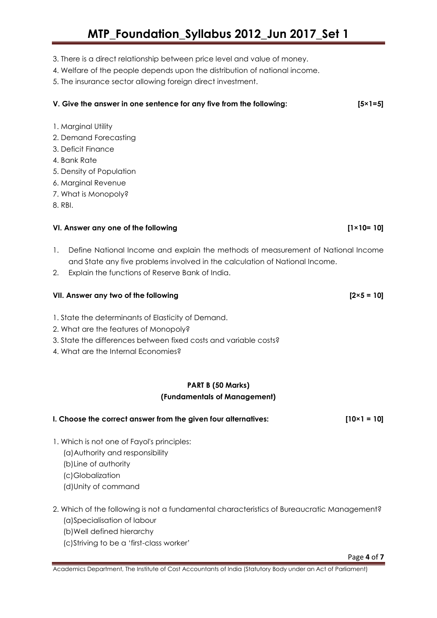# **MTP\_Foundation\_Syllabus 2012\_Jun 2017\_Set 1**

- 3. There is a direct relationship between price level and value of money.
- 4. Welfare of the people depends upon the distribution of national income.
- 5. The insurance sector allowing foreign direct investment.

| V. Give the answer in one sentence for any five from the following: |  |  |  |
|---------------------------------------------------------------------|--|--|--|
|                                                                     |  |  |  |
| 1. Marginal Utility                                                 |  |  |  |
| 2. Demand Forecasting                                               |  |  |  |
| 3. Deficit Finance                                                  |  |  |  |
| 4. Bank Rate                                                        |  |  |  |
| 5. Density of Population                                            |  |  |  |
| 6. Marginal Revenue                                                 |  |  |  |
| 7. What is Monopoly?                                                |  |  |  |

8. RBI.

#### **VI. Answer any one of the following [1×10= 10]**

- 1. Define National Income and explain the methods of measurement of National Income and State any five problems involved in the calculation of National Income.
- 2. Explain the functions of Reserve Bank of India.

#### VII. Answer any two of the following **VII.** Answer any two of the following

- 1. State the determinants of Elasticity of Demand.
- 2. What are the features of Monopoly?
- 3. State the differences between fixed costs and variable costs?
- 4. What are the Internal Economies?

#### **PART B (50 Marks) (Fundamentals of Management)**

#### **I. Choose the correct answer from the given four alternatives: [10×1 = 10]**

- 1. Which is not one of Fayol's principles:
	- (a)Authority and responsibility
	- (b)Line of authority
	- (c)Globalization
	- (d)Unity of command

## 2. Which of the following is not a fundamental characteristics of Bureaucratic Management?

- (a)Specialisation of labour
- (b)Well defined hierarchy
- (c)Striving to be a 'first-class worker'

Page **4** of **7**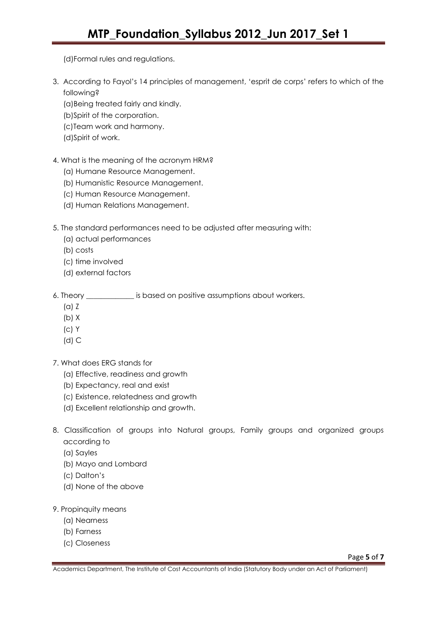(d)Formal rules and regulations.

- 3. According to Fayol's 14 principles of management, 'esprit de corps' refers to which of the following?
	- (a)Being treated fairly and kindly.
	- (b)Spirit of the corporation.
	- (c)Team work and harmony.
	- (d)Spirit of work.

#### 4. What is the meaning of the acronym HRM?

- (a) Humane Resource Management.
- (b) Humanistic Resource Management.
- (c) Human Resource Management.
- (d) Human Relations Management.
- 5. The standard performances need to be adjusted after measuring with:
	- (a) actual performances
	- (b) costs
	- (c) time involved
	- (d) external factors
- 6. Theory \_\_\_\_\_\_\_\_\_\_\_\_\_ is based on positive assumptions about workers.
	- (a) Z
	- (b) X
	- (c) Y
	- (d) C

#### 7. What does ERG stands for

- (a) Effective, readiness and growth
- (b) Expectancy, real and exist
- (c) Existence, relatedness and growth
- (d) Excellent relationship and growth.
- 8. Classification of groups into Natural groups, Family groups and organized groups according to
	- (a) Sayles
	- (b) Mayo and Lombard
	- (c) Dalton's
	- (d) None of the above
- 9. Propinquity means
	- (a) Nearness
	- (b) Farness
	- (c) Closeness

Page **5** of **7**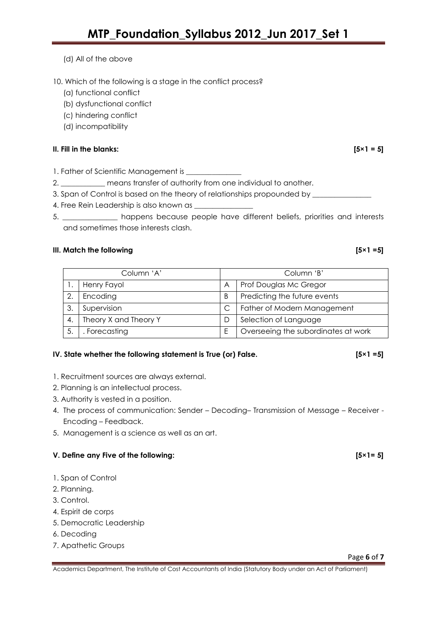(d) All of the above

10. Which of the following is a stage in the conflict process?

- (a) functional conflict
- (b) dysfunctional conflict
- (c) hindering conflict
- (d) incompatibility

#### **II.** Fill in the blanks:  $[5 \times 1 = 5]$

1. Father of Scientific Management is \_\_\_\_\_\_\_\_\_\_

2. **Example 2.** The means transfer of authority from one individual to another.

3. Span of Control is based on the theory of relationships propounded by

- 4. Free Rein Leadership is also known as
- 5. \_\_\_\_\_\_\_\_\_\_\_\_\_\_\_ happens because people have different beliefs, priorities and interests and sometimes those interests clash.

### **III.** Match the following [5×1 =5]

| Column 'A' |                       | Column 'B' |                                     |
|------------|-----------------------|------------|-------------------------------------|
|            | Henry Fayol           | A          | Prof Douglas Mc Gregor              |
| 2.         | Encoding              | B          | Predicting the future events        |
| 3.         | Supervision           |            | Father of Modern Management         |
| 4.         | Theory X and Theory Y | D          | Selection of Language               |
|            | Forecasting           |            | Overseeing the subordinates at work |

#### **IV. State whether the following statement is True (or) False. [5×1 =5]**

- 1. Recruitment sources are always external.
- 2. Planning is an intellectual process.
- 3. Authority is vested in a position.
- 4. The process of communication: Sender Decoding– Transmission of Message Receiver Encoding – Feedback.
- 5. Management is a science as well as an art.

#### **V. Define any Five of the following: [5×1= 5]**

- 1. Span of Control
- 2. Planning.
- 3. Control.
- 4. Espirit de corps
- 5. Democratic Leadership
- 6. Decoding
- 7. Apathetic Groups

Page **6** of **7**